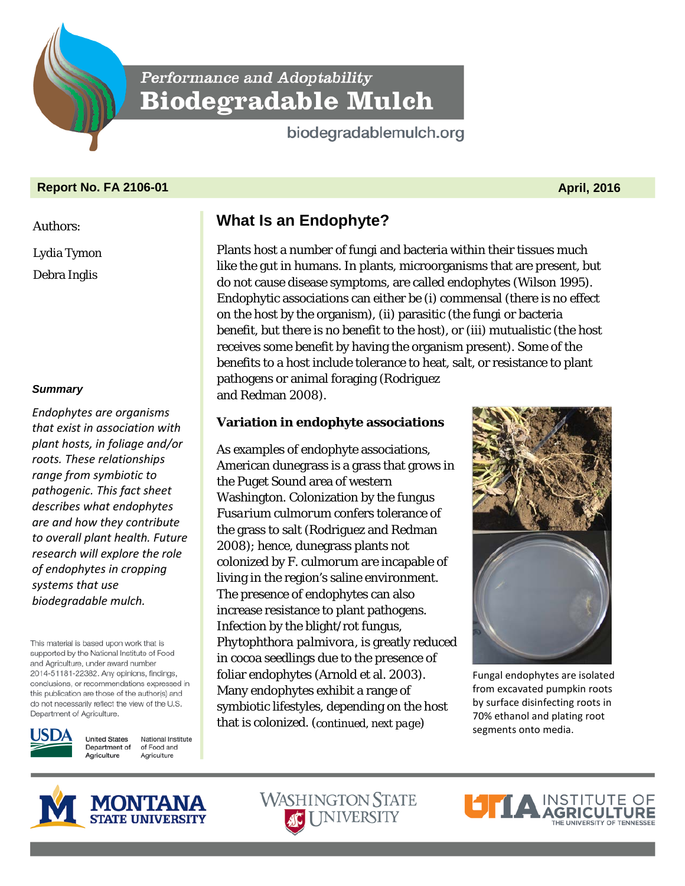Performance and Adoptability **Biodegradable Mulch** 

biodegradablemulch.org

## **Report No. FA 2106-01 April, 2016**

Authors:

Lydia Tymon Debra Inglis

*Summary*

*Endophytes are organisms that exist in association with plant hosts, in foliage and/or roots. These relationships range from symbiotic to pathogenic. This fact sheet describes what endophytes are and how they contribute to overall plant health. Future research will explore the role of endophytes in cropping systems that use biodegradable mulch.*

This material is based upon work that is supported by the National Institute of Food and Agriculture, under award number 2014-51181-22382. Any opinions, findings, conclusions, or recommendations expressed in this publication are those of the author(s) and do not necessarily reflect the view of the U.S. Department of Agriculture.



**United States** National Institute Department of of Food and Agriculture Agriculture

# **What Is an Endophyte?**

Plants host a number of fungi and bacteria within their tissues much like the gut in humans. In plants, microorganisms that are present, but do not cause disease symptoms, are called endophytes (Wilson 1995). Endophytic associations can either be (i) commensal (there is no effect on the host by the organism), (ii) parasitic (the fungi or bacteria benefit, but there is no benefit to the host), or (iii) mutualistic (the host receives some benefit by having the organism present). Some of the benefits to a host include tolerance to heat, salt, or resistance to plant pathogens or animal foraging (Rodriguez and Redman 2008).

# **Variation in endophyte associations**

As examples of endophyte associations, American dunegrass is a grass that grows in the Puget Sound area of western Washington. Colonization by the fungus *Fusarium culmorum* confers tolerance of the grass to salt (Rodriguez and Redman 2008); hence, dunegrass plants not colonized by *F. culmorum* are incapable of living in the region's saline environment. The presence of endophytes can also increase resistance to plant pathogens. Infection by the blight/rot fungus, *Phytophthora palmivora*, is greatly reduced in cocoa seedlings due to the presence of foliar endophytes (Arnold et al. 2003). Many endophytes exhibit a range of symbiotic lifestyles, depending on the host that is colonized. (*continued, next page*)



Fungal endophytes are isolated from excavated pumpkin roots by surface disinfecting roots in 70% ethanol and plating root segments onto media.





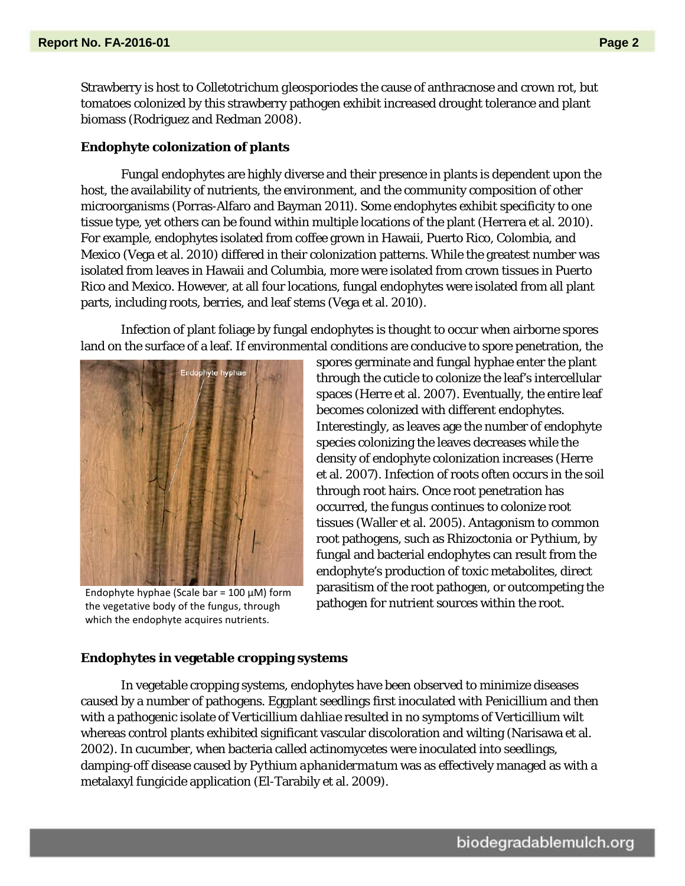Strawberry is host to *Colletotrichum gleosporiodes* the cause of anthracnose and crown rot, but tomatoes colonized by this strawberry pathogen exhibit increased drought tolerance and plant biomass (Rodriguez and Redman 2008).

## **Endophyte colonization of plants**

Fungal endophytes are highly diverse and their presence in plants is dependent upon the host, the availability of nutrients, the environment, and the community composition of other microorganisms (Porras-Alfaro and Bayman 2011). Some endophytes exhibit specificity to one tissue type, yet others can be found within multiple locations of the plant (Herrera et al. 2010). For example, endophytes isolated from coffee grown in Hawaii, Puerto Rico, Colombia, and Mexico (Vega et al. 2010) differed in their colonization patterns. While the greatest number was isolated from leaves in Hawaii and Columbia, more were isolated from crown tissues in Puerto Rico and Mexico. However, at all four locations, fungal endophytes were isolated from all plant parts, including roots, berries, and leaf stems (Vega et al. 2010).

Infection of plant foliage by fungal endophytes is thought to occur when airborne spores land on the surface of a leaf. If environmental conditions are conducive to spore penetration, the



Endophyte hyphae (Scale bar =  $100 \mu$ M) form the vegetative body of the fungus, through which the endophyte acquires nutrients.

spores germinate and fungal hyphae enter the plant through the cuticle to colonize the leaf's intercellular spaces (Herre et al. 2007). Eventually, the entire leaf becomes colonized with different endophytes. Interestingly, as leaves age the number of endophyte species colonizing the leaves decreases while the density of endophyte colonization increases (Herre et al. 2007). Infection of roots often occurs in the soil through root hairs. Once root penetration has occurred, the fungus continues to colonize root tissues (Waller et al. 2005). Antagonism to common root pathogens, such as *Rhizoctonia* or *Pythium*, by fungal and bacterial endophytes can result from the endophyte's production of toxic metabolites, direct parasitism of the root pathogen, or outcompeting the pathogen for nutrient sources within the root.

## **Endophytes in vegetable cropping systems**

In vegetable cropping systems, endophytes have been observed to minimize diseases caused by a number of pathogens. Eggplant seedlings first inoculated with *Penicillium* and then with a pathogenic isolate of *Verticillium dahliae* resulted in no symptoms of Verticillium wilt whereas control plants exhibited significant vascular discoloration and wilting (Narisawa et al. 2002). In cucumber, when bacteria called actinomycetes were inoculated into seedlings, damping-off disease caused by *Pythium aphanidermatum* was as effectively managed as with a metalaxyl fungicide application (El-Tarabily et al. 2009).